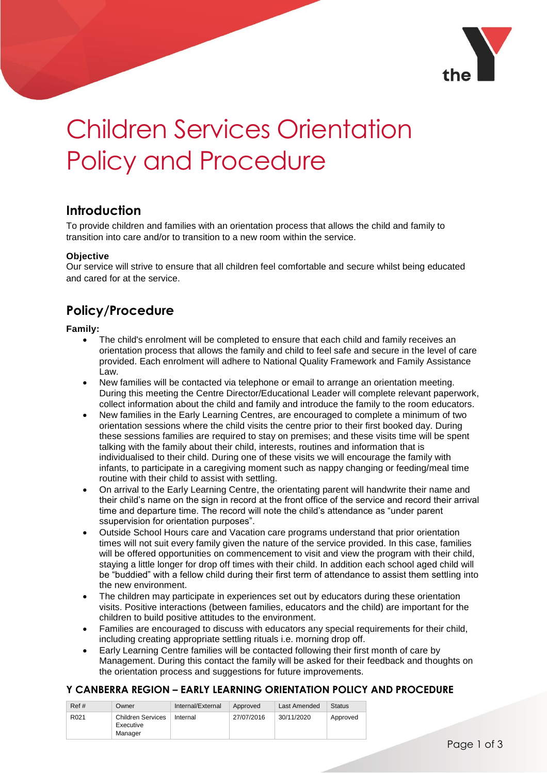

# Children Services Orientation Policy and Procedure

## **Introduction**

To provide children and families with an orientation process that allows the child and family to transition into care and/or to transition to a new room within the service.

#### **Objective**

Our service will strive to ensure that all children feel comfortable and secure whilst being educated and cared for at the service.

# **Policy/Procedure**

#### **Family:**

- The child's enrolment will be completed to ensure that each child and family receives an orientation process that allows the family and child to feel safe and secure in the level of care provided. Each enrolment will adhere to National Quality Framework and Family Assistance Law.
- New families will be contacted via telephone or email to arrange an orientation meeting. During this meeting the Centre Director/Educational Leader will complete relevant paperwork, collect information about the child and family and introduce the family to the room educators.
- New families in the Early Learning Centres, are encouraged to complete a minimum of two orientation sessions where the child visits the centre prior to their first booked day. During these sessions families are required to stay on premises; and these visits time will be spent talking with the family about their child, interests, routines and information that is individualised to their child. During one of these visits we will encourage the family with infants, to participate in a caregiving moment such as nappy changing or feeding/meal time routine with their child to assist with settling.
- On arrival to the Early Learning Centre, the orientating parent will handwrite their name and their child's name on the sign in record at the front office of the service and record their arrival time and departure time. The record will note the child's attendance as "under parent ssupervision for orientation purposes".
- Outside School Hours care and Vacation care programs understand that prior orientation times will not suit every family given the nature of the service provided. In this case, families will be offered opportunities on commencement to visit and view the program with their child, staying a little longer for drop off times with their child. In addition each school aged child will be "buddied" with a fellow child during their first term of attendance to assist them settling into the new environment.
- The children may participate in experiences set out by educators during these orientation visits. Positive interactions (between families, educators and the child) are important for the children to build positive attitudes to the environment.
- Families are encouraged to discuss with educators any special requirements for their child, including creating appropriate settling rituals i.e. morning drop off.
- Early Learning Centre families will be contacted following their first month of care by Management. During this contact the family will be asked for their feedback and thoughts on the orientation process and suggestions for future improvements.

## **Y CANBERRA REGION – EARLY LEARNING ORIENTATION POLICY AND PROCEDURE**

| Ref#             | Owner                                            | Internal/External | Approved   | Last Amended | <b>Status</b> |
|------------------|--------------------------------------------------|-------------------|------------|--------------|---------------|
| R <sub>021</sub> | <b>Children Services</b><br>Executive<br>Manager | Internal          | 27/07/2016 | 30/11/2020   | Approved      |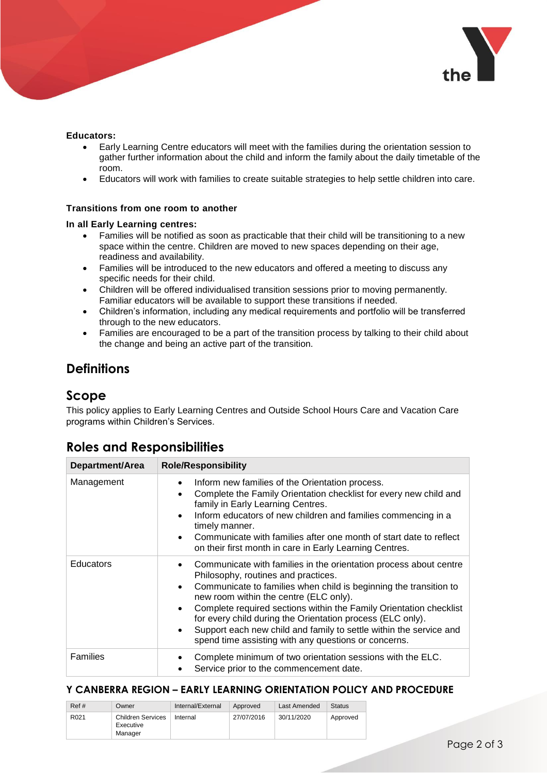

#### **Educators:**

- Early Learning Centre educators will meet with the families during the orientation session to gather further information about the child and inform the family about the daily timetable of the room.
- Educators will work with families to create suitable strategies to help settle children into care.

#### **Transitions from one room to another**

#### **In all Early Learning centres:**

- Families will be notified as soon as practicable that their child will be transitioning to a new space within the centre. Children are moved to new spaces depending on their age, readiness and availability.
- Families will be introduced to the new educators and offered a meeting to discuss any specific needs for their child.
- Children will be offered individualised transition sessions prior to moving permanently. Familiar educators will be available to support these transitions if needed.
- Children's information, including any medical requirements and portfolio will be transferred through to the new educators.
- Families are encouraged to be a part of the transition process by talking to their child about the change and being an active part of the transition.

## **Definitions**

## **Scope**

This policy applies to Early Learning Centres and Outside School Hours Care and Vacation Care programs within Children's Services.

## **Roles and Responsibilities**

| Department/Area  | <b>Role/Responsibility</b>                                                                                                                                                                                                                                                                                                                                                                                                                                                                             |
|------------------|--------------------------------------------------------------------------------------------------------------------------------------------------------------------------------------------------------------------------------------------------------------------------------------------------------------------------------------------------------------------------------------------------------------------------------------------------------------------------------------------------------|
| Management       | Inform new families of the Orientation process.<br>Complete the Family Orientation checklist for every new child and<br>$\bullet$<br>family in Early Learning Centres.<br>Inform educators of new children and families commencing in a<br>timely manner.<br>Communicate with families after one month of start date to reflect<br>on their first month in care in Early Learning Centres.                                                                                                             |
| <b>Educators</b> | Communicate with families in the orientation process about centre<br>Philosophy, routines and practices.<br>Communicate to families when child is beginning the transition to<br>$\bullet$<br>new room within the centre (ELC only).<br>Complete required sections within the Family Orientation checklist<br>for every child during the Orientation process (ELC only).<br>Support each new child and family to settle within the service and<br>spend time assisting with any questions or concerns. |
| <b>Families</b>  | Complete minimum of two orientation sessions with the ELC.<br>Service prior to the commencement date.                                                                                                                                                                                                                                                                                                                                                                                                  |

### **Y CANBERRA REGION – EARLY LEARNING ORIENTATION POLICY AND PROCEDURE**

| Ref#             | Owner                                            | Internal/External | Approved   | Last Amended | <b>Status</b> |
|------------------|--------------------------------------------------|-------------------|------------|--------------|---------------|
| R <sub>021</sub> | <b>Children Services</b><br>Executive<br>Manager | Internal          | 27/07/2016 | 30/11/2020   | Approved      |